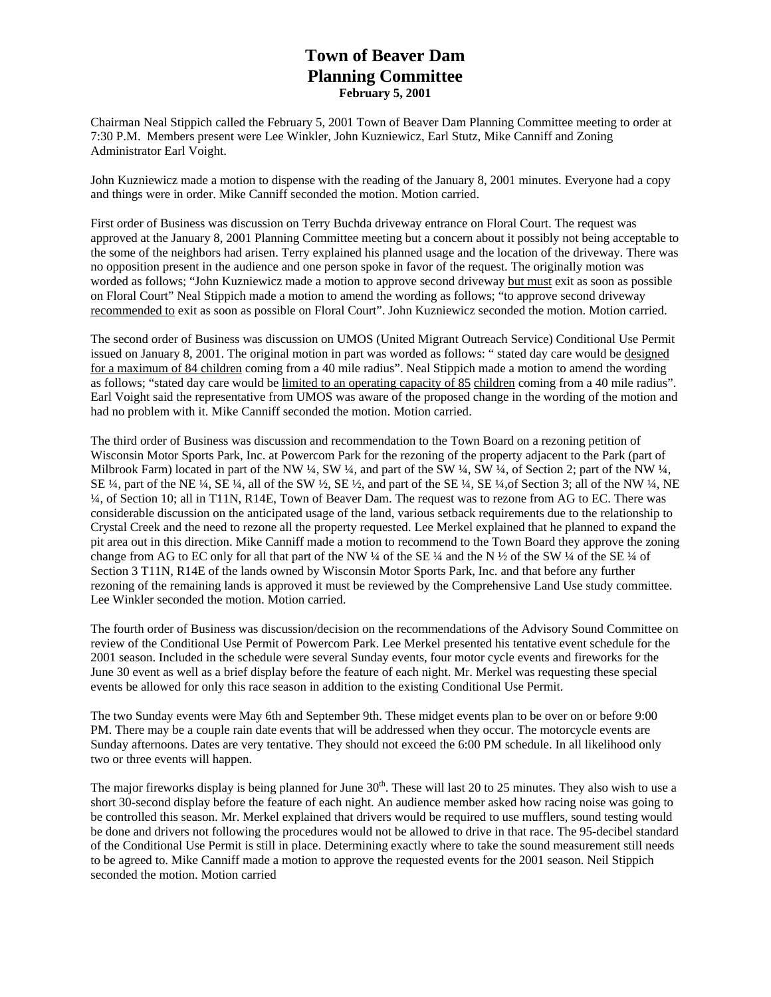# **Town of Beaver Dam Planning Committee February 5, 2001**

Chairman Neal Stippich called the February 5, 2001 Town of Beaver Dam Planning Committee meeting to order at 7:30 P.M. Members present were Lee Winkler, John Kuzniewicz, Earl Stutz, Mike Canniff and Zoning Administrator Earl Voight.

John Kuzniewicz made a motion to dispense with the reading of the January 8, 2001 minutes. Everyone had a copy and things were in order. Mike Canniff seconded the motion. Motion carried.

First order of Business was discussion on Terry Buchda driveway entrance on Floral Court. The request was approved at the January 8, 2001 Planning Committee meeting but a concern about it possibly not being acceptable to the some of the neighbors had arisen. Terry explained his planned usage and the location of the driveway. There was no opposition present in the audience and one person spoke in favor of the request. The originally motion was worded as follows; "John Kuzniewicz made a motion to approve second driveway but must exit as soon as possible on Floral Court" Neal Stippich made a motion to amend the wording as follows; "to approve second driveway recommended to exit as soon as possible on Floral Court". John Kuzniewicz seconded the motion. Motion carried.

The second order of Business was discussion on UMOS (United Migrant Outreach Service) Conditional Use Permit issued on January 8, 2001. The original motion in part was worded as follows: " stated day care would be designed for a maximum of 84 children coming from a 40 mile radius". Neal Stippich made a motion to amend the wording as follows; "stated day care would be limited to an operating capacity of 85 children coming from a 40 mile radius". Earl Voight said the representative from UMOS was aware of the proposed change in the wording of the motion and had no problem with it. Mike Canniff seconded the motion. Motion carried.

The third order of Business was discussion and recommendation to the Town Board on a rezoning petition of Wisconsin Motor Sports Park, Inc. at Powercom Park for the rezoning of the property adjacent to the Park (part of Milbrook Farm) located in part of the NW ¼, SW ¼, and part of the SW ¼, SW ¼, of Section 2; part of the NW ¼, SE  $\frac{1}{4}$ , part of the NE  $\frac{1}{4}$ , SE  $\frac{1}{4}$ , all of the SW  $\frac{1}{2}$ , SE  $\frac{1}{2}$ , and part of the SE  $\frac{1}{4}$ , SE  $\frac{1}{4}$ , SE  $\frac{1}{4}$ , SE  $\frac{1}{4}$ , SE  $\frac{1}{4}$ , SE  $\frac{1}{4}$ , SE  $\frac{1}{4}$ , NE ¼, of Section 10; all in T11N, R14E, Town of Beaver Dam. The request was to rezone from AG to EC. There was considerable discussion on the anticipated usage of the land, various setback requirements due to the relationship to Crystal Creek and the need to rezone all the property requested. Lee Merkel explained that he planned to expand the pit area out in this direction. Mike Canniff made a motion to recommend to the Town Board they approve the zoning change from AG to EC only for all that part of the NW ¼ of the SE ¼ and the N ½ of the SW ¼ of the SE ¼ of Section 3 T11N, R14E of the lands owned by Wisconsin Motor Sports Park, Inc. and that before any further rezoning of the remaining lands is approved it must be reviewed by the Comprehensive Land Use study committee. Lee Winkler seconded the motion. Motion carried.

The fourth order of Business was discussion/decision on the recommendations of the Advisory Sound Committee on review of the Conditional Use Permit of Powercom Park. Lee Merkel presented his tentative event schedule for the 2001 season. Included in the schedule were several Sunday events, four motor cycle events and fireworks for the June 30 event as well as a brief display before the feature of each night. Mr. Merkel was requesting these special events be allowed for only this race season in addition to the existing Conditional Use Permit.

The two Sunday events were May 6th and September 9th. These midget events plan to be over on or before 9:00 PM. There may be a couple rain date events that will be addressed when they occur. The motorcycle events are Sunday afternoons. Dates are very tentative. They should not exceed the 6:00 PM schedule. In all likelihood only two or three events will happen.

The major fireworks display is being planned for June  $30<sup>th</sup>$ . These will last 20 to 25 minutes. They also wish to use a short 30-second display before the feature of each night. An audience member asked how racing noise was going to be controlled this season. Mr. Merkel explained that drivers would be required to use mufflers, sound testing would be done and drivers not following the procedures would not be allowed to drive in that race. The 95-decibel standard of the Conditional Use Permit is still in place. Determining exactly where to take the sound measurement still needs to be agreed to. Mike Canniff made a motion to approve the requested events for the 2001 season. Neil Stippich seconded the motion. Motion carried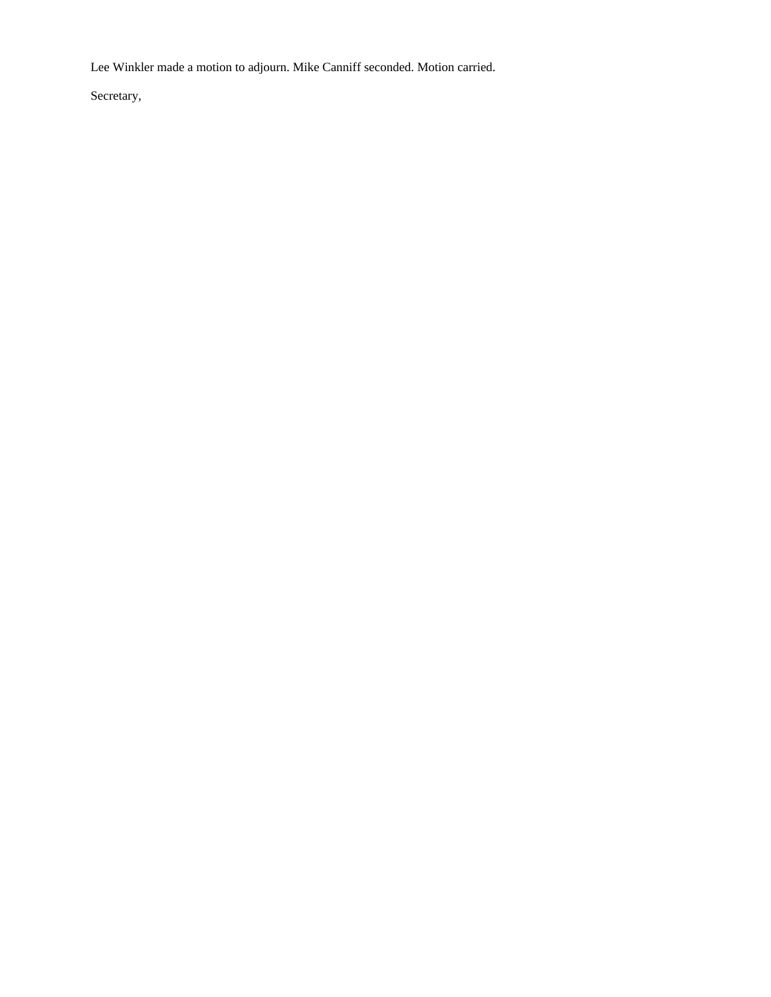Lee Winkler made a motion to adjourn. Mike Canniff seconded. Motion carried.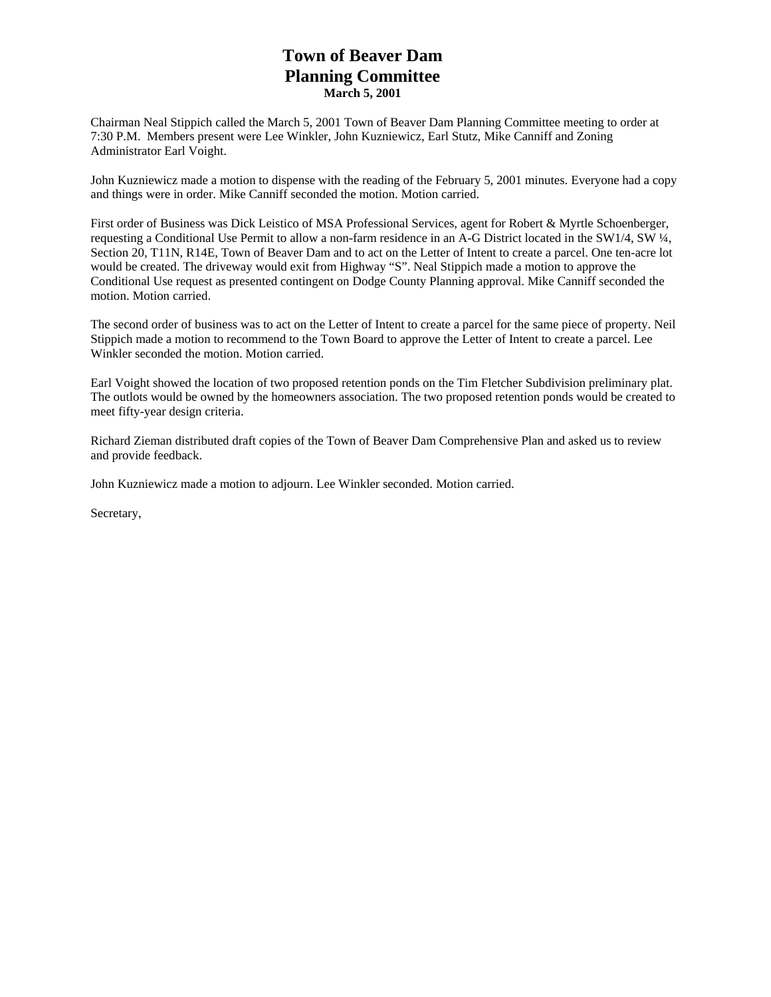# **Town of Beaver Dam Planning Committee March 5, 2001**

Chairman Neal Stippich called the March 5, 2001 Town of Beaver Dam Planning Committee meeting to order at 7:30 P.M. Members present were Lee Winkler, John Kuzniewicz, Earl Stutz, Mike Canniff and Zoning Administrator Earl Voight.

John Kuzniewicz made a motion to dispense with the reading of the February 5, 2001 minutes. Everyone had a copy and things were in order. Mike Canniff seconded the motion. Motion carried.

First order of Business was Dick Leistico of MSA Professional Services, agent for Robert & Myrtle Schoenberger, requesting a Conditional Use Permit to allow a non-farm residence in an A-G District located in the SW1/4, SW ¼, Section 20, T11N, R14E, Town of Beaver Dam and to act on the Letter of Intent to create a parcel. One ten-acre lot would be created. The driveway would exit from Highway "S". Neal Stippich made a motion to approve the Conditional Use request as presented contingent on Dodge County Planning approval. Mike Canniff seconded the motion. Motion carried.

The second order of business was to act on the Letter of Intent to create a parcel for the same piece of property. Neil Stippich made a motion to recommend to the Town Board to approve the Letter of Intent to create a parcel. Lee Winkler seconded the motion. Motion carried.

Earl Voight showed the location of two proposed retention ponds on the Tim Fletcher Subdivision preliminary plat. The outlots would be owned by the homeowners association. The two proposed retention ponds would be created to meet fifty-year design criteria.

Richard Zieman distributed draft copies of the Town of Beaver Dam Comprehensive Plan and asked us to review and provide feedback.

John Kuzniewicz made a motion to adjourn. Lee Winkler seconded. Motion carried.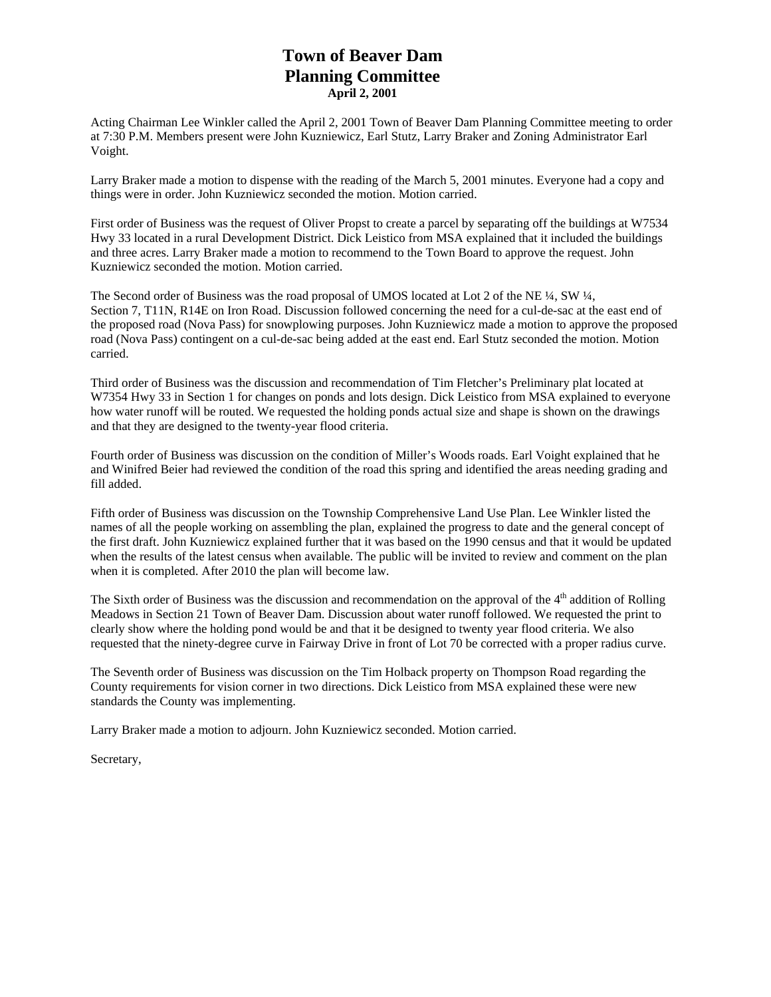# **Town of Beaver Dam Planning Committee April 2, 2001**

Acting Chairman Lee Winkler called the April 2, 2001 Town of Beaver Dam Planning Committee meeting to order at 7:30 P.M. Members present were John Kuzniewicz, Earl Stutz, Larry Braker and Zoning Administrator Earl Voight.

Larry Braker made a motion to dispense with the reading of the March 5, 2001 minutes. Everyone had a copy and things were in order. John Kuzniewicz seconded the motion. Motion carried.

First order of Business was the request of Oliver Propst to create a parcel by separating off the buildings at W7534 Hwy 33 located in a rural Development District. Dick Leistico from MSA explained that it included the buildings and three acres. Larry Braker made a motion to recommend to the Town Board to approve the request. John Kuzniewicz seconded the motion. Motion carried.

The Second order of Business was the road proposal of UMOS located at Lot 2 of the NE ¼, SW ¼, Section 7, T11N, R14E on Iron Road. Discussion followed concerning the need for a cul-de-sac at the east end of the proposed road (Nova Pass) for snowplowing purposes. John Kuzniewicz made a motion to approve the proposed road (Nova Pass) contingent on a cul-de-sac being added at the east end. Earl Stutz seconded the motion. Motion carried.

Third order of Business was the discussion and recommendation of Tim Fletcher's Preliminary plat located at W7354 Hwy 33 in Section 1 for changes on ponds and lots design. Dick Leistico from MSA explained to everyone how water runoff will be routed. We requested the holding ponds actual size and shape is shown on the drawings and that they are designed to the twenty-year flood criteria.

Fourth order of Business was discussion on the condition of Miller's Woods roads. Earl Voight explained that he and Winifred Beier had reviewed the condition of the road this spring and identified the areas needing grading and fill added.

Fifth order of Business was discussion on the Township Comprehensive Land Use Plan. Lee Winkler listed the names of all the people working on assembling the plan, explained the progress to date and the general concept of the first draft. John Kuzniewicz explained further that it was based on the 1990 census and that it would be updated when the results of the latest census when available. The public will be invited to review and comment on the plan when it is completed. After 2010 the plan will become law.

The Sixth order of Business was the discussion and recommendation on the approval of the  $4<sup>th</sup>$  addition of Rolling Meadows in Section 21 Town of Beaver Dam. Discussion about water runoff followed. We requested the print to clearly show where the holding pond would be and that it be designed to twenty year flood criteria. We also requested that the ninety-degree curve in Fairway Drive in front of Lot 70 be corrected with a proper radius curve.

The Seventh order of Business was discussion on the Tim Holback property on Thompson Road regarding the County requirements for vision corner in two directions. Dick Leistico from MSA explained these were new standards the County was implementing.

Larry Braker made a motion to adjourn. John Kuzniewicz seconded. Motion carried.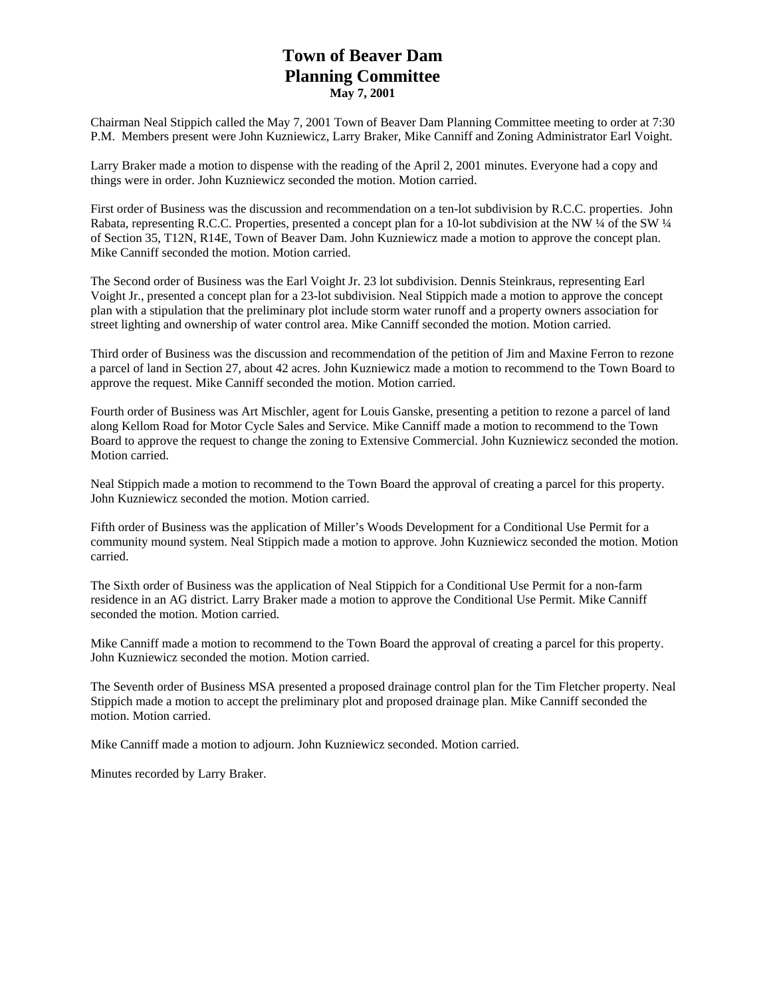# **Town of Beaver Dam Planning Committee May 7, 2001**

Chairman Neal Stippich called the May 7, 2001 Town of Beaver Dam Planning Committee meeting to order at 7:30 P.M. Members present were John Kuzniewicz, Larry Braker, Mike Canniff and Zoning Administrator Earl Voight.

Larry Braker made a motion to dispense with the reading of the April 2, 2001 minutes. Everyone had a copy and things were in order. John Kuzniewicz seconded the motion. Motion carried.

First order of Business was the discussion and recommendation on a ten-lot subdivision by R.C.C. properties. John Rabata, representing R.C.C. Properties, presented a concept plan for a 10-lot subdivision at the NW ¼ of the SW ¼ of Section 35, T12N, R14E, Town of Beaver Dam. John Kuzniewicz made a motion to approve the concept plan. Mike Canniff seconded the motion. Motion carried.

The Second order of Business was the Earl Voight Jr. 23 lot subdivision. Dennis Steinkraus, representing Earl Voight Jr., presented a concept plan for a 23-lot subdivision. Neal Stippich made a motion to approve the concept plan with a stipulation that the preliminary plot include storm water runoff and a property owners association for street lighting and ownership of water control area. Mike Canniff seconded the motion. Motion carried.

Third order of Business was the discussion and recommendation of the petition of Jim and Maxine Ferron to rezone a parcel of land in Section 27, about 42 acres. John Kuzniewicz made a motion to recommend to the Town Board to approve the request. Mike Canniff seconded the motion. Motion carried.

Fourth order of Business was Art Mischler, agent for Louis Ganske, presenting a petition to rezone a parcel of land along Kellom Road for Motor Cycle Sales and Service. Mike Canniff made a motion to recommend to the Town Board to approve the request to change the zoning to Extensive Commercial. John Kuzniewicz seconded the motion. Motion carried.

Neal Stippich made a motion to recommend to the Town Board the approval of creating a parcel for this property. John Kuzniewicz seconded the motion. Motion carried.

Fifth order of Business was the application of Miller's Woods Development for a Conditional Use Permit for a community mound system. Neal Stippich made a motion to approve. John Kuzniewicz seconded the motion. Motion carried.

The Sixth order of Business was the application of Neal Stippich for a Conditional Use Permit for a non-farm residence in an AG district. Larry Braker made a motion to approve the Conditional Use Permit. Mike Canniff seconded the motion. Motion carried.

Mike Canniff made a motion to recommend to the Town Board the approval of creating a parcel for this property. John Kuzniewicz seconded the motion. Motion carried.

The Seventh order of Business MSA presented a proposed drainage control plan for the Tim Fletcher property. Neal Stippich made a motion to accept the preliminary plot and proposed drainage plan. Mike Canniff seconded the motion. Motion carried.

Mike Canniff made a motion to adjourn. John Kuzniewicz seconded. Motion carried.

Minutes recorded by Larry Braker.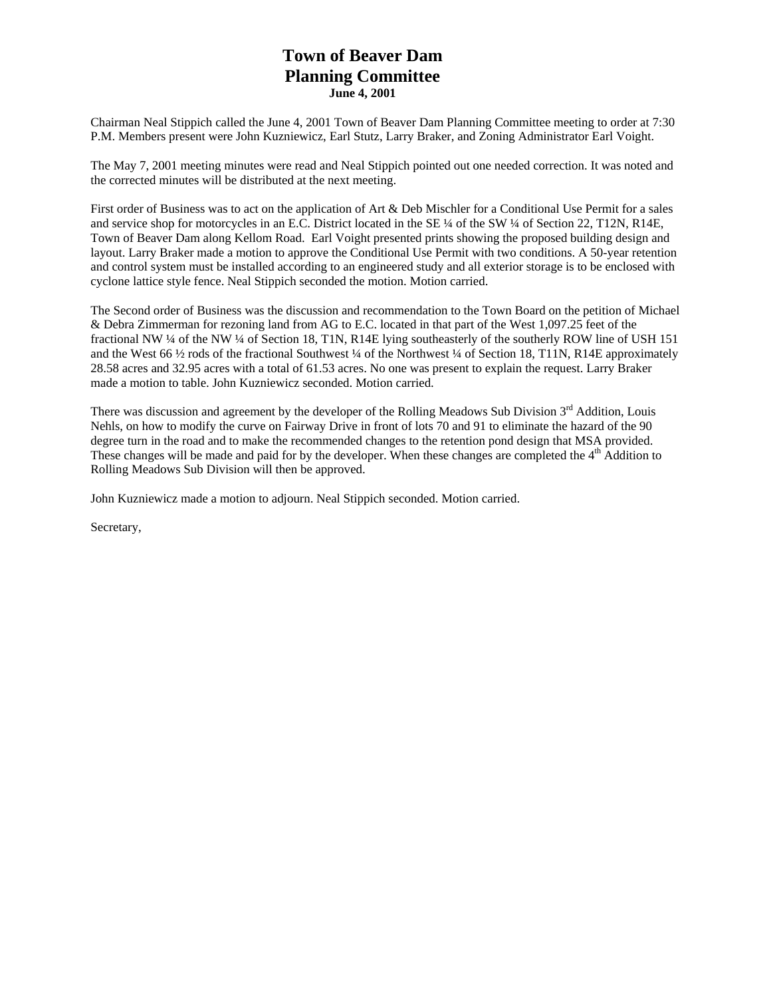# **Town of Beaver Dam Planning Committee June 4, 2001**

Chairman Neal Stippich called the June 4, 2001 Town of Beaver Dam Planning Committee meeting to order at 7:30 P.M. Members present were John Kuzniewicz, Earl Stutz, Larry Braker, and Zoning Administrator Earl Voight.

The May 7, 2001 meeting minutes were read and Neal Stippich pointed out one needed correction. It was noted and the corrected minutes will be distributed at the next meeting.

First order of Business was to act on the application of Art & Deb Mischler for a Conditional Use Permit for a sales and service shop for motorcycles in an E.C. District located in the SE ¼ of the SW ¼ of Section 22, T12N, R14E, Town of Beaver Dam along Kellom Road. Earl Voight presented prints showing the proposed building design and layout. Larry Braker made a motion to approve the Conditional Use Permit with two conditions. A 50-year retention and control system must be installed according to an engineered study and all exterior storage is to be enclosed with cyclone lattice style fence. Neal Stippich seconded the motion. Motion carried.

The Second order of Business was the discussion and recommendation to the Town Board on the petition of Michael & Debra Zimmerman for rezoning land from AG to E.C. located in that part of the West 1,097.25 feet of the fractional NW ¼ of the NW ¼ of Section 18, T1N, R14E lying southeasterly of the southerly ROW line of USH 151 and the West 66  $\frac{1}{2}$  rods of the fractional Southwest  $\frac{1}{4}$  of the Northwest  $\frac{1}{4}$  of Section 18, T11N, R14E approximately 28.58 acres and 32.95 acres with a total of 61.53 acres. No one was present to explain the request. Larry Braker made a motion to table. John Kuzniewicz seconded. Motion carried.

There was discussion and agreement by the developer of the Rolling Meadows Sub Division  $3<sup>rd</sup>$  Addition, Louis Nehls, on how to modify the curve on Fairway Drive in front of lots 70 and 91 to eliminate the hazard of the 90 degree turn in the road and to make the recommended changes to the retention pond design that MSA provided. These changes will be made and paid for by the developer. When these changes are completed the  $4<sup>th</sup>$  Addition to Rolling Meadows Sub Division will then be approved.

John Kuzniewicz made a motion to adjourn. Neal Stippich seconded. Motion carried.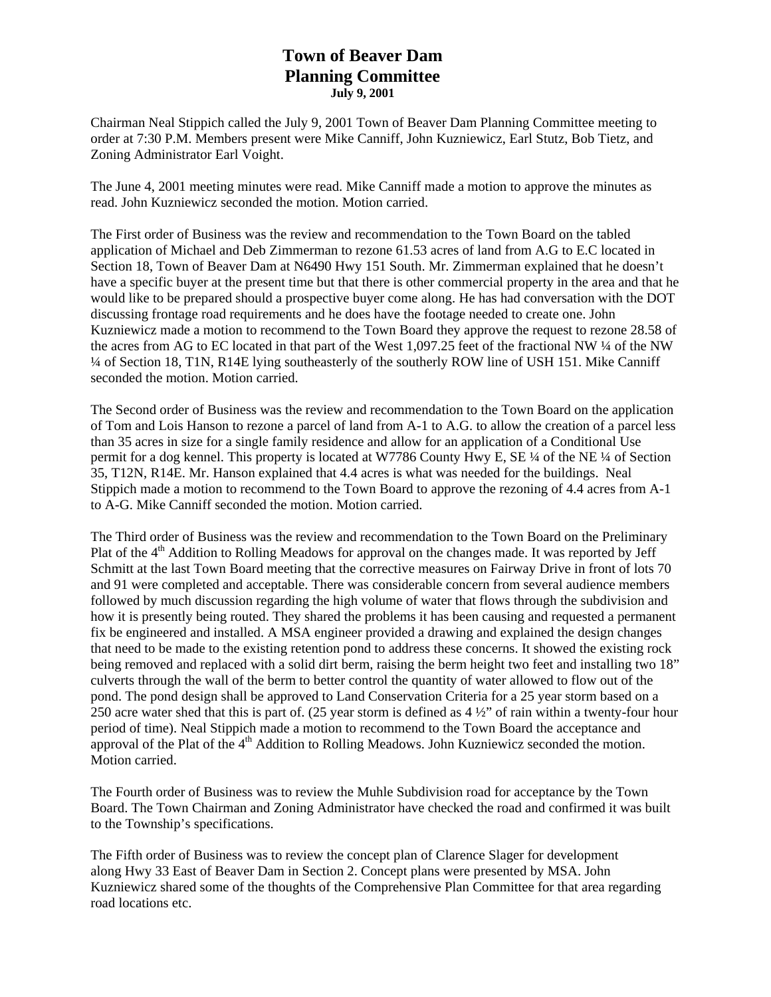### **Town of Beaver Dam Planning Committee July 9, 2001**

Chairman Neal Stippich called the July 9, 2001 Town of Beaver Dam Planning Committee meeting to order at 7:30 P.M. Members present were Mike Canniff, John Kuzniewicz, Earl Stutz, Bob Tietz, and Zoning Administrator Earl Voight.

The June 4, 2001 meeting minutes were read. Mike Canniff made a motion to approve the minutes as read. John Kuzniewicz seconded the motion. Motion carried.

The First order of Business was the review and recommendation to the Town Board on the tabled application of Michael and Deb Zimmerman to rezone 61.53 acres of land from A.G to E.C located in Section 18, Town of Beaver Dam at N6490 Hwy 151 South. Mr. Zimmerman explained that he doesn't have a specific buyer at the present time but that there is other commercial property in the area and that he would like to be prepared should a prospective buyer come along. He has had conversation with the DOT discussing frontage road requirements and he does have the footage needed to create one. John Kuzniewicz made a motion to recommend to the Town Board they approve the request to rezone 28.58 of the acres from AG to EC located in that part of the West 1,097.25 feet of the fractional NW ¼ of the NW ¼ of Section 18, T1N, R14E lying southeasterly of the southerly ROW line of USH 151. Mike Canniff seconded the motion. Motion carried.

The Second order of Business was the review and recommendation to the Town Board on the application of Tom and Lois Hanson to rezone a parcel of land from A-1 to A.G. to allow the creation of a parcel less than 35 acres in size for a single family residence and allow for an application of a Conditional Use permit for a dog kennel. This property is located at W7786 County Hwy E, SE ¼ of the NE ¼ of Section 35, T12N, R14E. Mr. Hanson explained that 4.4 acres is what was needed for the buildings. Neal Stippich made a motion to recommend to the Town Board to approve the rezoning of 4.4 acres from A-1 to A-G. Mike Canniff seconded the motion. Motion carried.

The Third order of Business was the review and recommendation to the Town Board on the Preliminary Plat of the 4<sup>th</sup> Addition to Rolling Meadows for approval on the changes made. It was reported by Jeff Schmitt at the last Town Board meeting that the corrective measures on Fairway Drive in front of lots 70 and 91 were completed and acceptable. There was considerable concern from several audience members followed by much discussion regarding the high volume of water that flows through the subdivision and how it is presently being routed. They shared the problems it has been causing and requested a permanent fix be engineered and installed. A MSA engineer provided a drawing and explained the design changes that need to be made to the existing retention pond to address these concerns. It showed the existing rock being removed and replaced with a solid dirt berm, raising the berm height two feet and installing two 18" culverts through the wall of the berm to better control the quantity of water allowed to flow out of the pond. The pond design shall be approved to Land Conservation Criteria for a 25 year storm based on a 250 acre water shed that this is part of. (25 year storm is defined as 4 ½" of rain within a twenty-four hour period of time). Neal Stippich made a motion to recommend to the Town Board the acceptance and approval of the Plat of the 4<sup>th</sup> Addition to Rolling Meadows. John Kuzniewicz seconded the motion. Motion carried.

The Fourth order of Business was to review the Muhle Subdivision road for acceptance by the Town Board. The Town Chairman and Zoning Administrator have checked the road and confirmed it was built to the Township's specifications.

The Fifth order of Business was to review the concept plan of Clarence Slager for development along Hwy 33 East of Beaver Dam in Section 2. Concept plans were presented by MSA. John Kuzniewicz shared some of the thoughts of the Comprehensive Plan Committee for that area regarding road locations etc.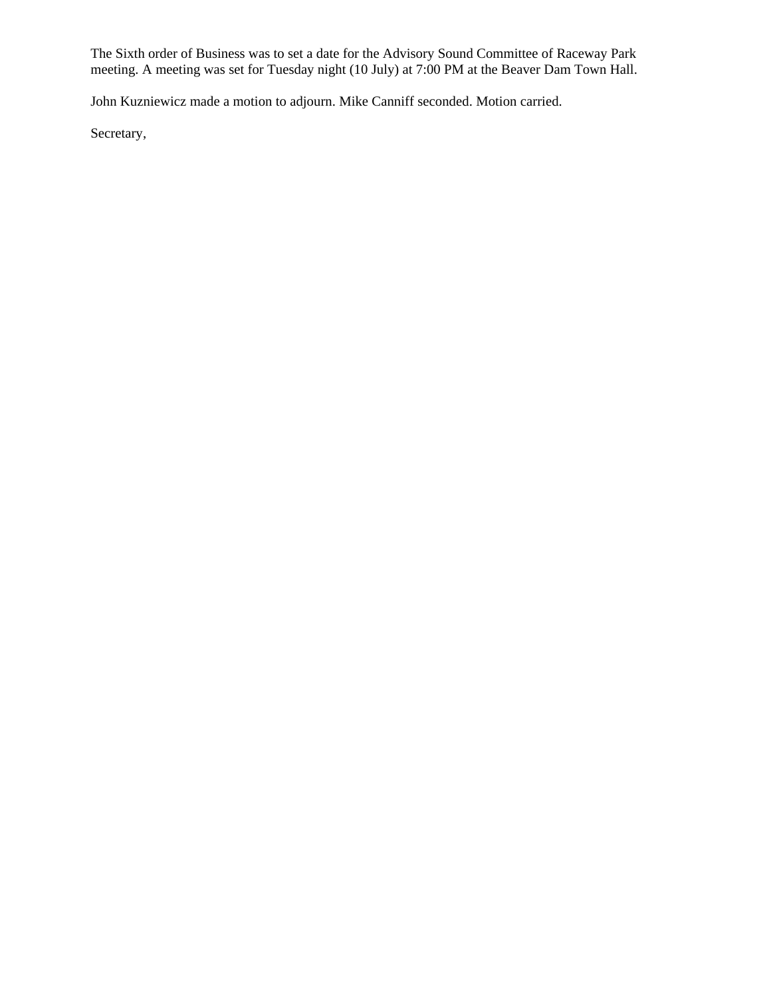The Sixth order of Business was to set a date for the Advisory Sound Committee of Raceway Park meeting. A meeting was set for Tuesday night (10 July) at 7:00 PM at the Beaver Dam Town Hall.

John Kuzniewicz made a motion to adjourn. Mike Canniff seconded. Motion carried.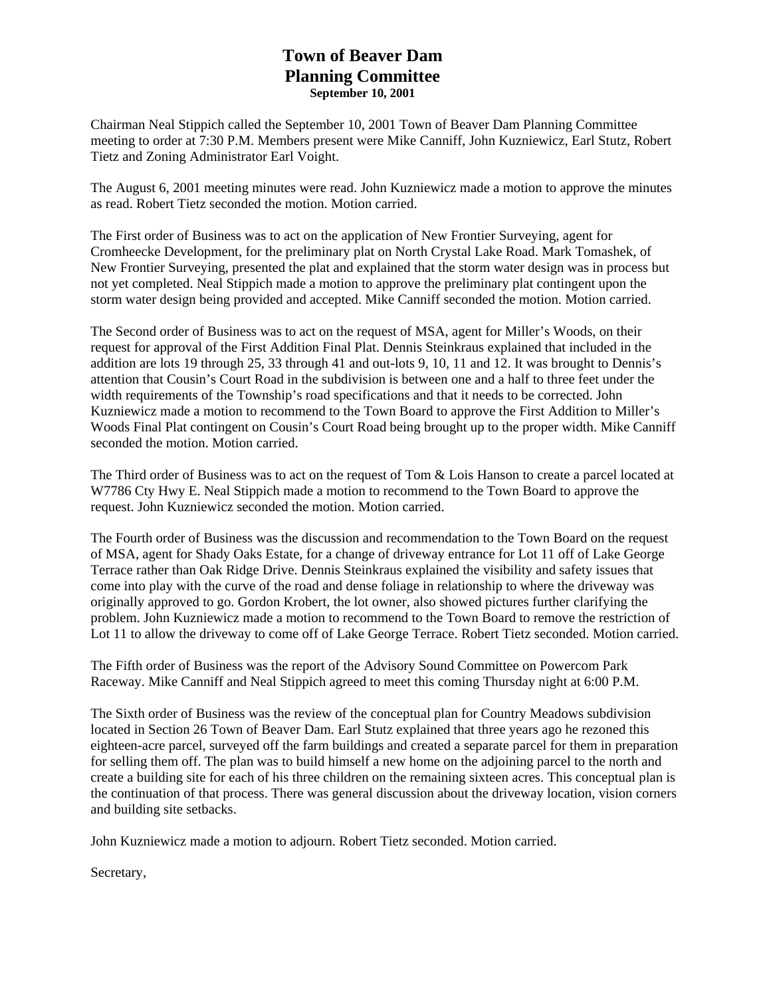# **Town of Beaver Dam Planning Committee September 10, 2001**

Chairman Neal Stippich called the September 10, 2001 Town of Beaver Dam Planning Committee meeting to order at 7:30 P.M. Members present were Mike Canniff, John Kuzniewicz, Earl Stutz, Robert Tietz and Zoning Administrator Earl Voight.

The August 6, 2001 meeting minutes were read. John Kuzniewicz made a motion to approve the minutes as read. Robert Tietz seconded the motion. Motion carried.

The First order of Business was to act on the application of New Frontier Surveying, agent for Cromheecke Development, for the preliminary plat on North Crystal Lake Road. Mark Tomashek, of New Frontier Surveying, presented the plat and explained that the storm water design was in process but not yet completed. Neal Stippich made a motion to approve the preliminary plat contingent upon the storm water design being provided and accepted. Mike Canniff seconded the motion. Motion carried.

The Second order of Business was to act on the request of MSA, agent for Miller's Woods, on their request for approval of the First Addition Final Plat. Dennis Steinkraus explained that included in the addition are lots 19 through 25, 33 through 41 and out-lots 9, 10, 11 and 12. It was brought to Dennis's attention that Cousin's Court Road in the subdivision is between one and a half to three feet under the width requirements of the Township's road specifications and that it needs to be corrected. John Kuzniewicz made a motion to recommend to the Town Board to approve the First Addition to Miller's Woods Final Plat contingent on Cousin's Court Road being brought up to the proper width. Mike Canniff seconded the motion. Motion carried.

The Third order of Business was to act on the request of Tom & Lois Hanson to create a parcel located at W7786 Cty Hwy E. Neal Stippich made a motion to recommend to the Town Board to approve the request. John Kuzniewicz seconded the motion. Motion carried.

The Fourth order of Business was the discussion and recommendation to the Town Board on the request of MSA, agent for Shady Oaks Estate, for a change of driveway entrance for Lot 11 off of Lake George Terrace rather than Oak Ridge Drive. Dennis Steinkraus explained the visibility and safety issues that come into play with the curve of the road and dense foliage in relationship to where the driveway was originally approved to go. Gordon Krobert, the lot owner, also showed pictures further clarifying the problem. John Kuzniewicz made a motion to recommend to the Town Board to remove the restriction of Lot 11 to allow the driveway to come off of Lake George Terrace. Robert Tietz seconded. Motion carried.

The Fifth order of Business was the report of the Advisory Sound Committee on Powercom Park Raceway. Mike Canniff and Neal Stippich agreed to meet this coming Thursday night at 6:00 P.M.

The Sixth order of Business was the review of the conceptual plan for Country Meadows subdivision located in Section 26 Town of Beaver Dam. Earl Stutz explained that three years ago he rezoned this eighteen-acre parcel, surveyed off the farm buildings and created a separate parcel for them in preparation for selling them off. The plan was to build himself a new home on the adjoining parcel to the north and create a building site for each of his three children on the remaining sixteen acres. This conceptual plan is the continuation of that process. There was general discussion about the driveway location, vision corners and building site setbacks.

John Kuzniewicz made a motion to adjourn. Robert Tietz seconded. Motion carried.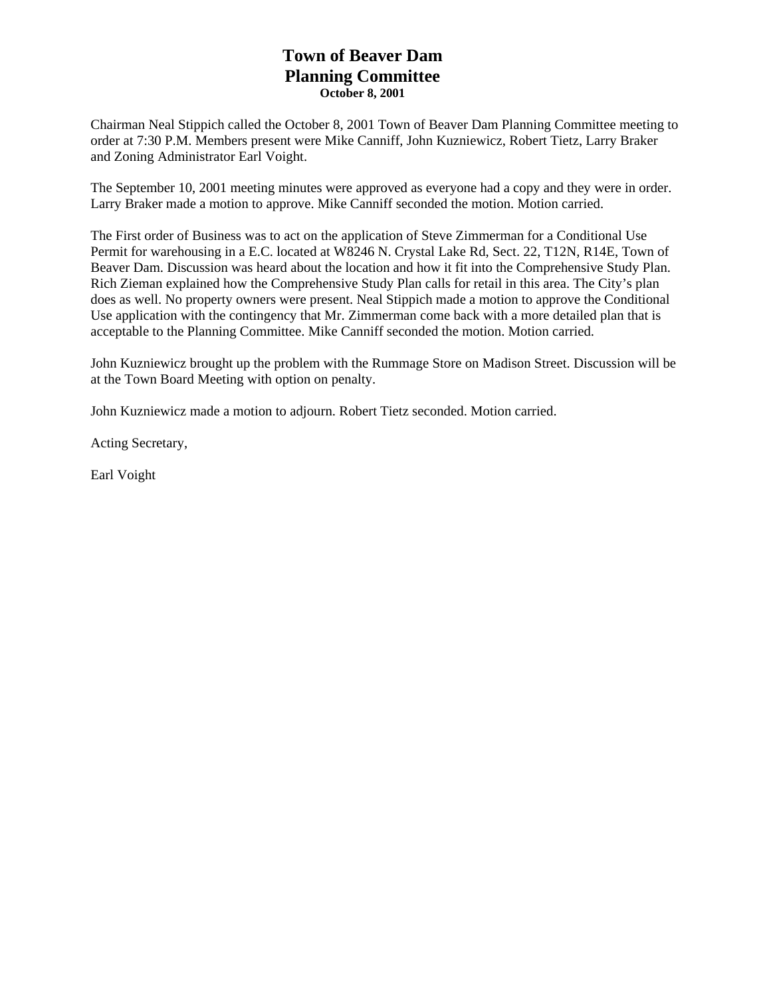# **Town of Beaver Dam Planning Committee October 8, 2001**

Chairman Neal Stippich called the October 8, 2001 Town of Beaver Dam Planning Committee meeting to order at 7:30 P.M. Members present were Mike Canniff, John Kuzniewicz, Robert Tietz, Larry Braker and Zoning Administrator Earl Voight.

The September 10, 2001 meeting minutes were approved as everyone had a copy and they were in order. Larry Braker made a motion to approve. Mike Canniff seconded the motion. Motion carried.

The First order of Business was to act on the application of Steve Zimmerman for a Conditional Use Permit for warehousing in a E.C. located at W8246 N. Crystal Lake Rd, Sect. 22, T12N, R14E, Town of Beaver Dam. Discussion was heard about the location and how it fit into the Comprehensive Study Plan. Rich Zieman explained how the Comprehensive Study Plan calls for retail in this area. The City's plan does as well. No property owners were present. Neal Stippich made a motion to approve the Conditional Use application with the contingency that Mr. Zimmerman come back with a more detailed plan that is acceptable to the Planning Committee. Mike Canniff seconded the motion. Motion carried.

John Kuzniewicz brought up the problem with the Rummage Store on Madison Street. Discussion will be at the Town Board Meeting with option on penalty.

John Kuzniewicz made a motion to adjourn. Robert Tietz seconded. Motion carried.

Acting Secretary,

Earl Voight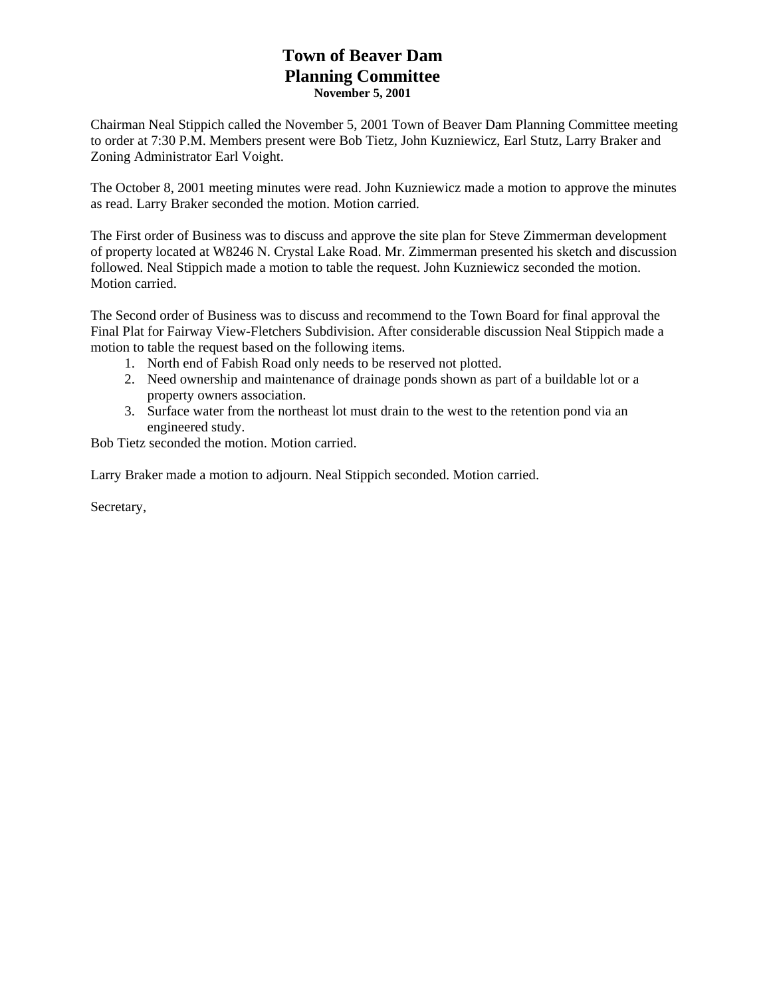# **Town of Beaver Dam Planning Committee November 5, 2001**

Chairman Neal Stippich called the November 5, 2001 Town of Beaver Dam Planning Committee meeting to order at 7:30 P.M. Members present were Bob Tietz, John Kuzniewicz, Earl Stutz, Larry Braker and Zoning Administrator Earl Voight.

The October 8, 2001 meeting minutes were read. John Kuzniewicz made a motion to approve the minutes as read. Larry Braker seconded the motion. Motion carried.

The First order of Business was to discuss and approve the site plan for Steve Zimmerman development of property located at W8246 N. Crystal Lake Road. Mr. Zimmerman presented his sketch and discussion followed. Neal Stippich made a motion to table the request. John Kuzniewicz seconded the motion. Motion carried.

The Second order of Business was to discuss and recommend to the Town Board for final approval the Final Plat for Fairway View-Fletchers Subdivision. After considerable discussion Neal Stippich made a motion to table the request based on the following items.

- 1. North end of Fabish Road only needs to be reserved not plotted.
- 2. Need ownership and maintenance of drainage ponds shown as part of a buildable lot or a property owners association.
- 3. Surface water from the northeast lot must drain to the west to the retention pond via an engineered study.

Bob Tietz seconded the motion. Motion carried.

Larry Braker made a motion to adjourn. Neal Stippich seconded. Motion carried.